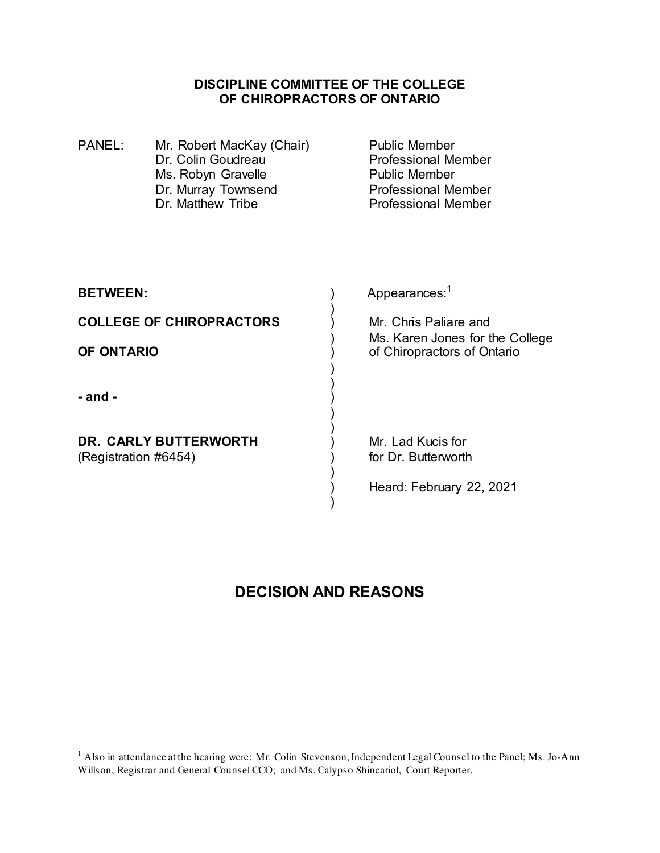#### **DISCIPLINE COMMITTEE OF THE COLLEGE OF CHIROPRACTORS OF ONTARIO**

| <b>PANEL:</b>                   | Mr. Robert MacKay (Chair)<br>Dr. Colin Goudreau<br>Ms. Robyn Gravelle<br>Dr. Murray Townsend<br>Dr. Matthew Tribe | <b>Public Member</b><br><b>Professional Member</b><br><b>Public Member</b><br><b>Professional Member</b><br><b>Professional Member</b> |
|---------------------------------|-------------------------------------------------------------------------------------------------------------------|----------------------------------------------------------------------------------------------------------------------------------------|
| <b>BETWEEN:</b>                 |                                                                                                                   | Appearances: <sup>1</sup>                                                                                                              |
| <b>COLLEGE OF CHIROPRACTORS</b> |                                                                                                                   | Mr. Chris Paliare and                                                                                                                  |
| OF ONTARIO                      |                                                                                                                   | Ms. Karen Jones for the College<br>of Chiropractors of Ontario                                                                         |
| - and -                         |                                                                                                                   |                                                                                                                                        |
|                                 | <b>DR. CARLY BUTTERWORTH</b>                                                                                      | Mr. Lad Kucis for                                                                                                                      |
| (Registration #6454)            |                                                                                                                   | for Dr. Butterworth                                                                                                                    |
|                                 |                                                                                                                   | Heard: February 22, 2021                                                                                                               |

# **DECISION AND REASONS**

<sup>&</sup>lt;sup>1</sup> Also in attendance at the hearing were: Mr. Colin Stevenson, Independent Legal Counsel to the Panel; Ms. Jo-Ann Willson, Registrar and General Counsel CCO; and Ms. Calypso Shincariol, Court Reporter.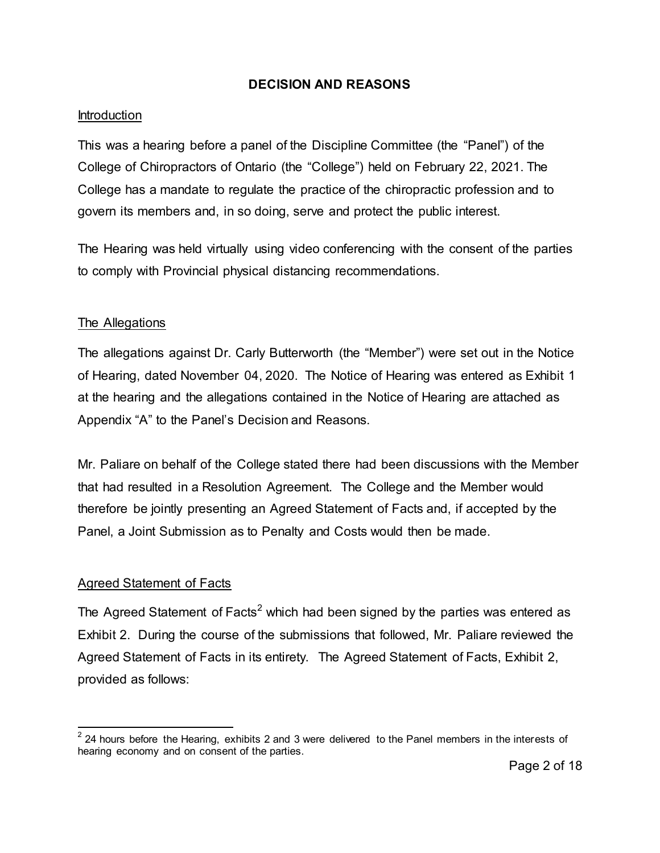#### **DECISION AND REASONS**

#### Introduction

This was a hearing before a panel of the Discipline Committee (the "Panel") of the College of Chiropractors of Ontario (the "College") held on February 22, 2021. The College has a mandate to regulate the practice of the chiropractic profession and to govern its members and, in so doing, serve and protect the public interest.

The Hearing was held virtually using video conferencing with the consent of the parties to comply with Provincial physical distancing recommendations.

#### The Allegations

The allegations against Dr. Carly Butterworth (the "Member") were set out in the Notice of Hearing, dated November 04, 2020. The Notice of Hearing was entered as Exhibit 1 at the hearing and the allegations contained in the Notice of Hearing are attached as Appendix "A" to the Panel's Decision and Reasons.

Mr. Paliare on behalf of the College stated there had been discussions with the Member that had resulted in a Resolution Agreement. The College and the Member would therefore be jointly presenting an Agreed Statement of Facts and, if accepted by the Panel, a Joint Submission as to Penalty and Costs would then be made.

## Agreed Statement of Facts

 $\overline{a}$ 

The Agreed Statement of Facts $^2$  which had been signed by the parties was entered as Exhibit 2. During the course of the submissions that followed, Mr. Paliare reviewed the Agreed Statement of Facts in its entirety. The Agreed Statement of Facts, Exhibit 2, provided as follows:

 $^{2}$  24 hours before the Hearing, exhibits 2 and 3 were delivered to the Panel members in the interests of hearing economy and on consent of the parties.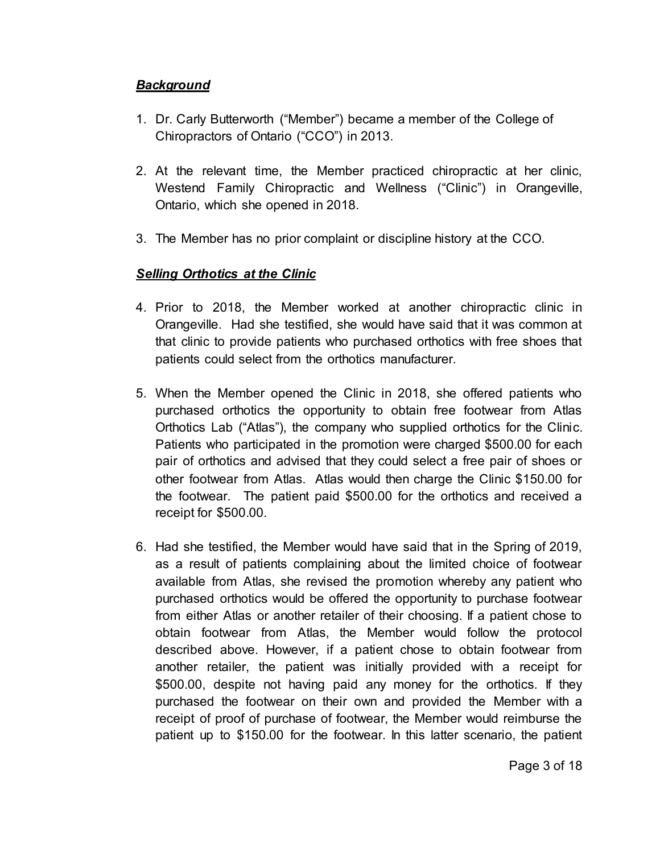## *Background*

- 1. Dr. Carly Butterworth ("Member") became a member of the College of Chiropractors of Ontario ("CCO") in 2013.
- 2. At the relevant time, the Member practiced chiropractic at her clinic, Westend Family Chiropractic and Wellness ("Clinic") in Orangeville, Ontario, which she opened in 2018.
- 3. The Member has no prior complaint or discipline history at the CCO.

# *Selling Orthotics at the Clinic*

- 4. Prior to 2018, the Member worked at another chiropractic clinic in Orangeville. Had she testified, she would have said that it was common at that clinic to provide patients who purchased orthotics with free shoes that patients could select from the orthotics manufacturer.
- 5. When the Member opened the Clinic in 2018, she offered patients who purchased orthotics the opportunity to obtain free footwear from Atlas Orthotics Lab ("Atlas"), the company who supplied orthotics for the Clinic. Patients who participated in the promotion were charged \$500.00 for each pair of orthotics and advised that they could select a free pair of shoes or other footwear from Atlas. Atlas would then charge the Clinic \$150.00 for the footwear. The patient paid \$500.00 for the orthotics and received a receipt for \$500.00.
- 6. Had she testified, the Member would have said that in the Spring of 2019, as a result of patients complaining about the limited choice of footwear available from Atlas, she revised the promotion whereby any patient who purchased orthotics would be offered the opportunity to purchase footwear from either Atlas or another retailer of their choosing. If a patient chose to obtain footwear from Atlas, the Member would follow the protocol described above. However, if a patient chose to obtain footwear from another retailer, the patient was initially provided with a receipt for \$500.00, despite not having paid any money for the orthotics. If they purchased the footwear on their own and provided the Member with a receipt of proof of purchase of footwear, the Member would reimburse the patient up to \$150.00 for the footwear. In this latter scenario, the patient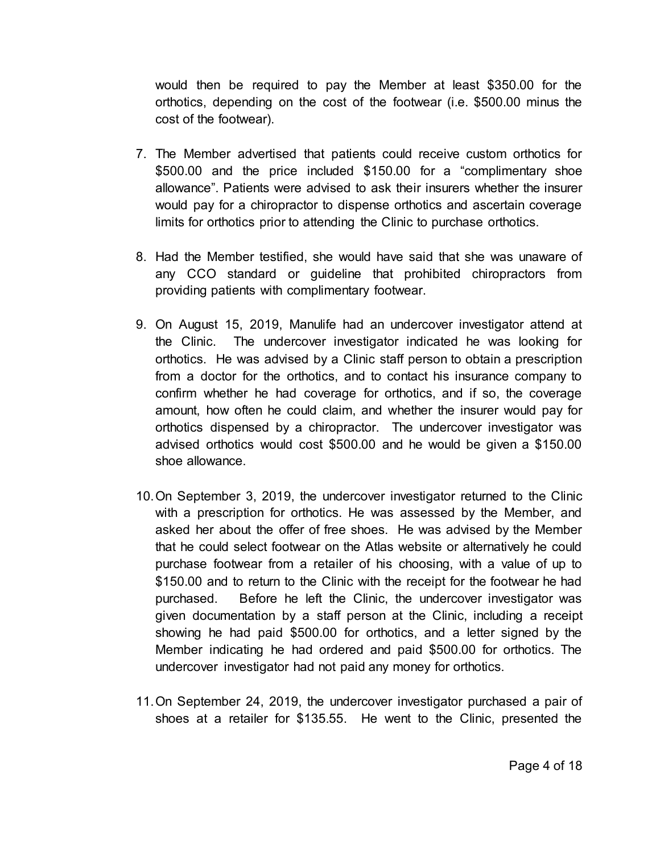would then be required to pay the Member at least \$350.00 for the orthotics, depending on the cost of the footwear (i.e. \$500.00 minus the cost of the footwear).

- 7. The Member advertised that patients could receive custom orthotics for \$500.00 and the price included \$150.00 for a "complimentary shoe allowance". Patients were advised to ask their insurers whether the insurer would pay for a chiropractor to dispense orthotics and ascertain coverage limits for orthotics prior to attending the Clinic to purchase orthotics.
- 8. Had the Member testified, she would have said that she was unaware of any CCO standard or guideline that prohibited chiropractors from providing patients with complimentary footwear.
- 9. On August 15, 2019, Manulife had an undercover investigator attend at the Clinic. The undercover investigator indicated he was looking for orthotics. He was advised by a Clinic staff person to obtain a prescription from a doctor for the orthotics, and to contact his insurance company to confirm whether he had coverage for orthotics, and if so, the coverage amount, how often he could claim, and whether the insurer would pay for orthotics dispensed by a chiropractor. The undercover investigator was advised orthotics would cost \$500.00 and he would be given a \$150.00 shoe allowance.
- 10. On September 3, 2019, the undercover investigator returned to the Clinic with a prescription for orthotics. He was assessed by the Member, and asked her about the offer of free shoes. He was advised by the Member that he could select footwear on the Atlas website or alternatively he could purchase footwear from a retailer of his choosing, with a value of up to \$150.00 and to return to the Clinic with the receipt for the footwear he had purchased. Before he left the Clinic, the undercover investigator was given documentation by a staff person at the Clinic, including a receipt showing he had paid \$500.00 for orthotics, and a letter signed by the Member indicating he had ordered and paid \$500.00 for orthotics. The undercover investigator had not paid any money for orthotics.
- 11. On September 24, 2019, the undercover investigator purchased a pair of shoes at a retailer for \$135.55. He went to the Clinic, presented the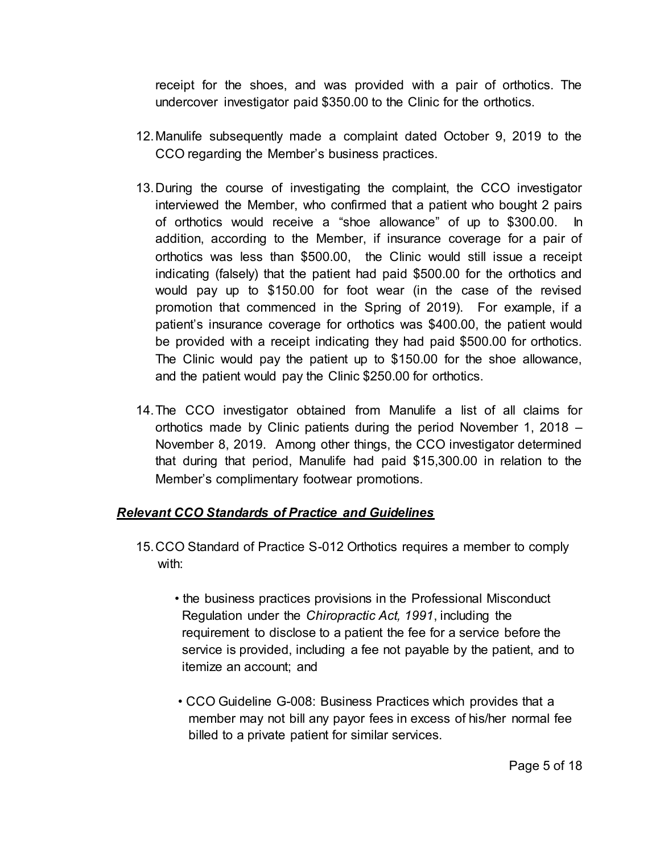receipt for the shoes, and was provided with a pair of orthotics. The undercover investigator paid \$350.00 to the Clinic for the orthotics.

- 12. Manulife subsequently made a complaint dated October 9, 2019 to the CCO regarding the Member's business practices.
- 13. During the course of investigating the complaint, the CCO investigator interviewed the Member, who confirmed that a patient who bought 2 pairs of orthotics would receive a "shoe allowance" of up to \$300.00. In addition, according to the Member, if insurance coverage for a pair of orthotics was less than \$500.00, the Clinic would still issue a receipt indicating (falsely) that the patient had paid \$500.00 for the orthotics and would pay up to \$150.00 for foot wear (in the case of the revised promotion that commenced in the Spring of 2019). For example, if a patient's insurance coverage for orthotics was \$400.00, the patient would be provided with a receipt indicating they had paid \$500.00 for orthotics. The Clinic would pay the patient up to \$150.00 for the shoe allowance, and the patient would pay the Clinic \$250.00 for orthotics.
- 14. The CCO investigator obtained from Manulife a list of all claims for orthotics made by Clinic patients during the period November 1, 2018 – November 8, 2019. Among other things, the CCO investigator determined that during that period, Manulife had paid \$15,300.00 in relation to the Member's complimentary footwear promotions.

## *Relevant CCO Standards of Practice and Guidelines*

- 15. CCO Standard of Practice S-012 Orthotics requires a member to comply with:
	- the business practices provisions in the Professional Misconduct Regulation under the *Chiropractic Act, 1991*, including the requirement to disclose to a patient the fee for a service before the service is provided, including a fee not payable by the patient, and to itemize an account; and
	- CCO Guideline G-008: Business Practices which provides that a member may not bill any payor fees in excess of his/her normal fee billed to a private patient for similar services.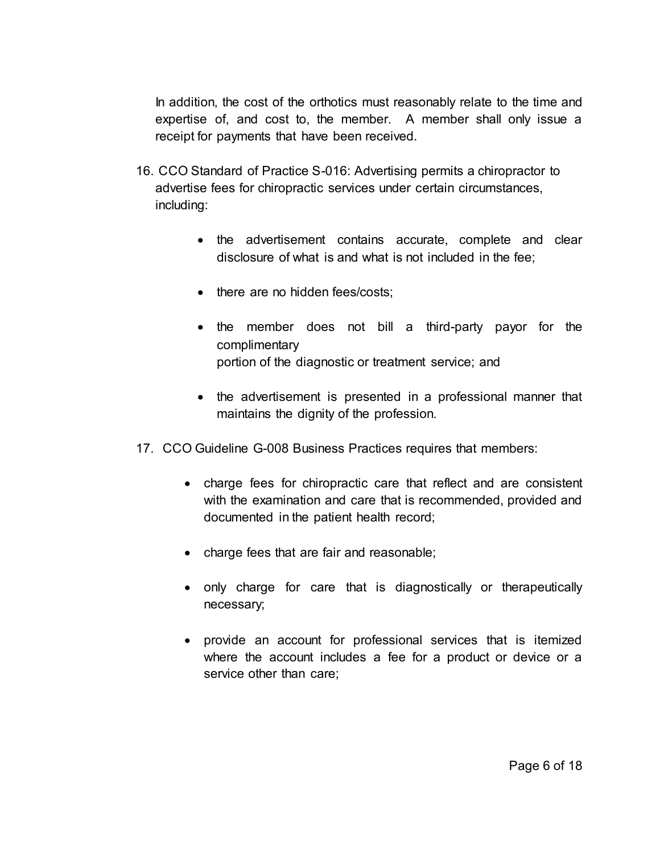In addition, the cost of the orthotics must reasonably relate to the time and expertise of, and cost to, the member. A member shall only issue a receipt for payments that have been received.

- 16. CCO Standard of Practice S-016: Advertising permits a chiropractor to advertise fees for chiropractic services under certain circumstances, including:
	- the advertisement contains accurate, complete and clear disclosure of what is and what is not included in the fee;
	- there are no hidden fees/costs:
	- the member does not bill a third-party payor for the complimentary portion of the diagnostic or treatment service; and
	- the advertisement is presented in a professional manner that maintains the dignity of the profession.
- 17. CCO Guideline G-008 Business Practices requires that members:
	- charge fees for chiropractic care that reflect and are consistent with the examination and care that is recommended, provided and documented in the patient health record;
	- charge fees that are fair and reasonable;
	- only charge for care that is diagnostically or therapeutically necessary;
	- provide an account for professional services that is itemized where the account includes a fee for a product or device or a service other than care;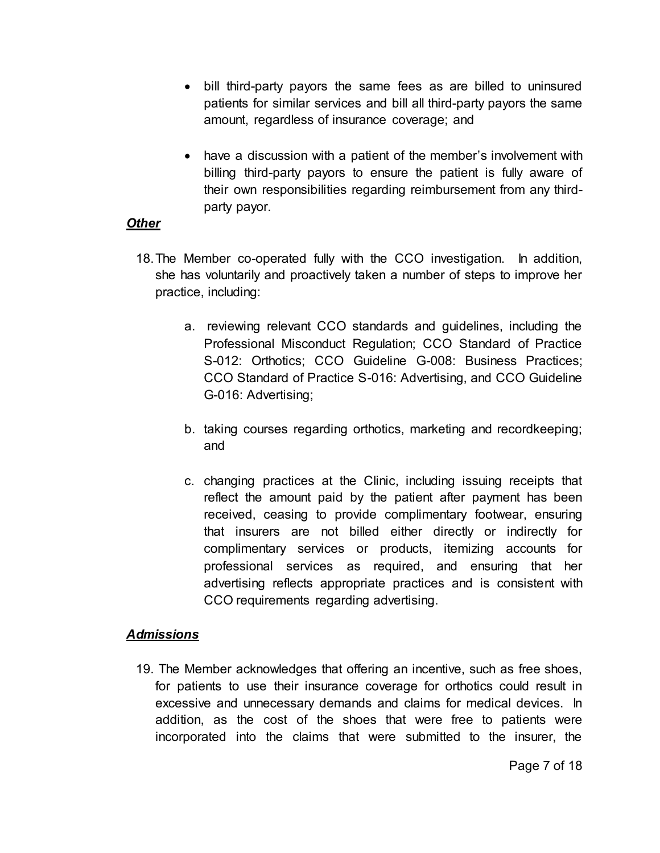- bill third-party payors the same fees as are billed to uninsured patients for similar services and bill all third-party payors the same amount, regardless of insurance coverage; and
- have a discussion with a patient of the member's involvement with billing third-party payors to ensure the patient is fully aware of their own responsibilities regarding reimbursement from any thirdparty payor.

#### *Other*

- 18. The Member co-operated fully with the CCO investigation. In addition, she has voluntarily and proactively taken a number of steps to improve her practice, including:
	- a. reviewing relevant CCO standards and guidelines, including the Professional Misconduct Regulation; CCO Standard of Practice S-012: Orthotics; CCO Guideline G-008: Business Practices; CCO Standard of Practice S-016: Advertising, and CCO Guideline G-016: Advertising;
	- b. taking courses regarding orthotics, marketing and recordkeeping; and
	- c. changing practices at the Clinic, including issuing receipts that reflect the amount paid by the patient after payment has been received, ceasing to provide complimentary footwear, ensuring that insurers are not billed either directly or indirectly for complimentary services or products, itemizing accounts for professional services as required, and ensuring that her advertising reflects appropriate practices and is consistent with CCO requirements regarding advertising.

## *Admissions*

19. The Member acknowledges that offering an incentive, such as free shoes, for patients to use their insurance coverage for orthotics could result in excessive and unnecessary demands and claims for medical devices. In addition, as the cost of the shoes that were free to patients were incorporated into the claims that were submitted to the insurer, the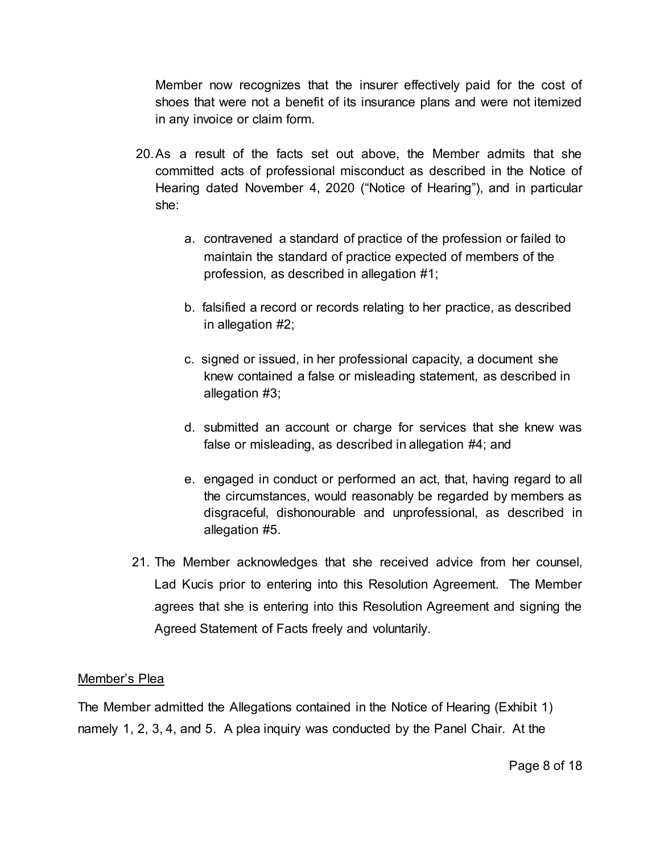Member now recognizes that the insurer effectively paid for the cost of shoes that were not a benefit of its insurance plans and were not itemized in any invoice or claim form.

- 20. As a result of the facts set out above, the Member admits that she committed acts of professional misconduct as described in the Notice of Hearing dated November 4, 2020 ("Notice of Hearing"), and in particular she:
	- a. contravened a standard of practice of the profession or failed to maintain the standard of practice expected of members of the profession, as described in allegation #1;
	- b. falsified a record or records relating to her practice, as described in allegation #2;
	- c. signed or issued, in her professional capacity, a document she knew contained a false or misleading statement, as described in allegation #3;
	- d. submitted an account or charge for services that she knew was false or misleading, as described in allegation #4; and
	- e. engaged in conduct or performed an act, that, having regard to all the circumstances, would reasonably be regarded by members as disgraceful, dishonourable and unprofessional, as described in allegation #5.
- 21. The Member acknowledges that she received advice from her counsel, Lad Kucis prior to entering into this Resolution Agreement. The Member agrees that she is entering into this Resolution Agreement and signing the Agreed Statement of Facts freely and voluntarily.

#### Member's Plea

The Member admitted the Allegations contained in the Notice of Hearing (Exhibit 1) namely 1, 2, 3, 4, and 5. A plea inquiry was conducted by the Panel Chair. At the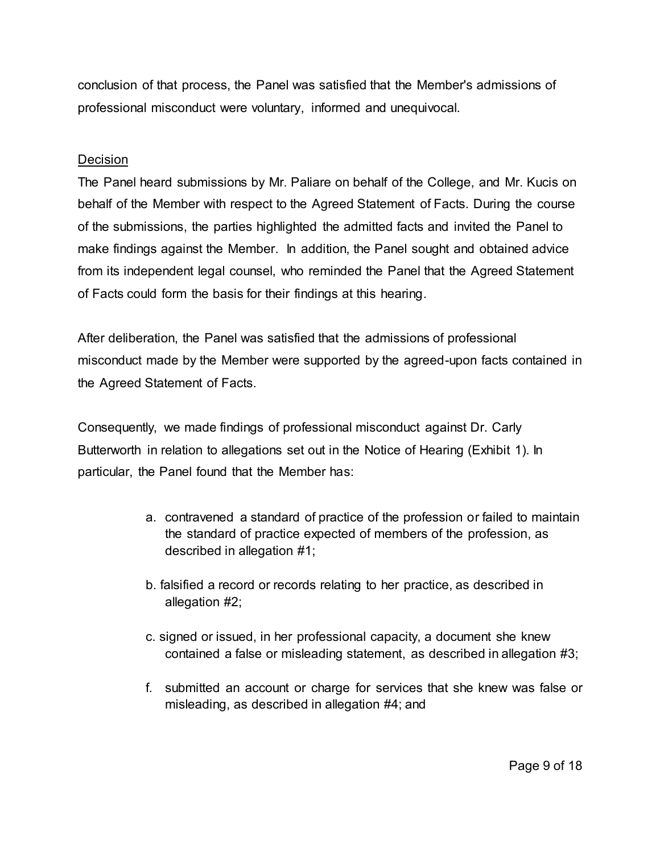conclusion of that process, the Panel was satisfied that the Member's admissions of professional misconduct were voluntary, informed and unequivocal.

#### **Decision**

The Panel heard submissions by Mr. Paliare on behalf of the College, and Mr. Kucis on behalf of the Member with respect to the Agreed Statement of Facts. During the course of the submissions, the parties highlighted the admitted facts and invited the Panel to make findings against the Member. In addition, the Panel sought and obtained advice from its independent legal counsel, who reminded the Panel that the Agreed Statement of Facts could form the basis for their findings at this hearing.

After deliberation, the Panel was satisfied that the admissions of professional misconduct made by the Member were supported by the agreed-upon facts contained in the Agreed Statement of Facts.

Consequently, we made findings of professional misconduct against Dr. Carly Butterworth in relation to allegations set out in the Notice of Hearing (Exhibit 1). In particular, the Panel found that the Member has:

- a. contravened a standard of practice of the profession or failed to maintain the standard of practice expected of members of the profession, as described in allegation #1;
- b. falsified a record or records relating to her practice, as described in allegation #2;
- c. signed or issued, in her professional capacity, a document she knew contained a false or misleading statement, as described in allegation #3;
- f. submitted an account or charge for services that she knew was false or misleading, as described in allegation #4; and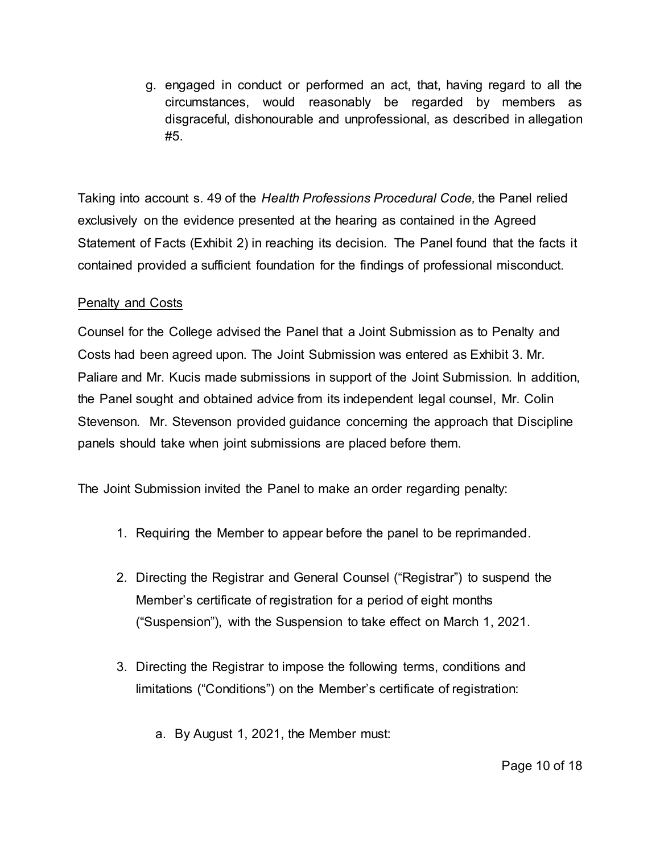g. engaged in conduct or performed an act, that, having regard to all the circumstances, would reasonably be regarded by members as disgraceful, dishonourable and unprofessional, as described in allegation #5.

Taking into account s. 49 of the *Health Professions Procedural Code,* the Panel relied exclusively on the evidence presented at the hearing as contained in the Agreed Statement of Facts (Exhibit 2) in reaching its decision. The Panel found that the facts it contained provided a sufficient foundation for the findings of professional misconduct.

## Penalty and Costs

Counsel for the College advised the Panel that a Joint Submission as to Penalty and Costs had been agreed upon. The Joint Submission was entered as Exhibit 3. Mr. Paliare and Mr. Kucis made submissions in support of the Joint Submission. In addition, the Panel sought and obtained advice from its independent legal counsel, Mr. Colin Stevenson. Mr. Stevenson provided guidance concerning the approach that Discipline panels should take when joint submissions are placed before them.

The Joint Submission invited the Panel to make an order regarding penalty:

- 1. Requiring the Member to appear before the panel to be reprimanded.
- 2. Directing the Registrar and General Counsel ("Registrar") to suspend the Member's certificate of registration for a period of eight months ("Suspension"), with the Suspension to take effect on March 1, 2021.
- 3. Directing the Registrar to impose the following terms, conditions and limitations ("Conditions") on the Member's certificate of registration:
	- a. By August 1, 2021, the Member must: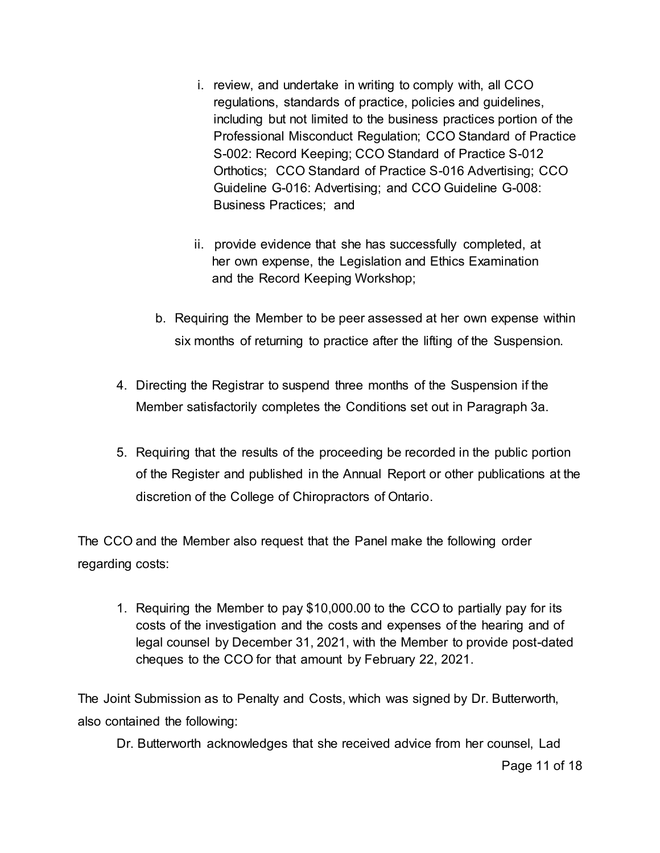- i. review, and undertake in writing to comply with, all CCO regulations, standards of practice, policies and guidelines, including but not limited to the business practices portion of the Professional Misconduct Regulation; CCO Standard of Practice S-002: Record Keeping; CCO Standard of Practice S-012 Orthotics; CCO Standard of Practice S-016 Advertising; CCO Guideline G-016: Advertising; and CCO Guideline G-008: Business Practices; and
- ii. provide evidence that she has successfully completed, at her own expense, the Legislation and Ethics Examination and the Record Keeping Workshop;
- b. Requiring the Member to be peer assessed at her own expense within six months of returning to practice after the lifting of the Suspension.
- 4. Directing the Registrar to suspend three months of the Suspension if the Member satisfactorily completes the Conditions set out in Paragraph 3a.
- 5. Requiring that the results of the proceeding be recorded in the public portion of the Register and published in the Annual Report or other publications at the discretion of the College of Chiropractors of Ontario.

The CCO and the Member also request that the Panel make the following order regarding costs:

1. Requiring the Member to pay \$10,000.00 to the CCO to partially pay for its costs of the investigation and the costs and expenses of the hearing and of legal counsel by December 31, 2021, with the Member to provide post-dated cheques to the CCO for that amount by February 22, 2021.

The Joint Submission as to Penalty and Costs, which was signed by Dr. Butterworth, also contained the following:

Dr. Butterworth acknowledges that she received advice from her counsel, Lad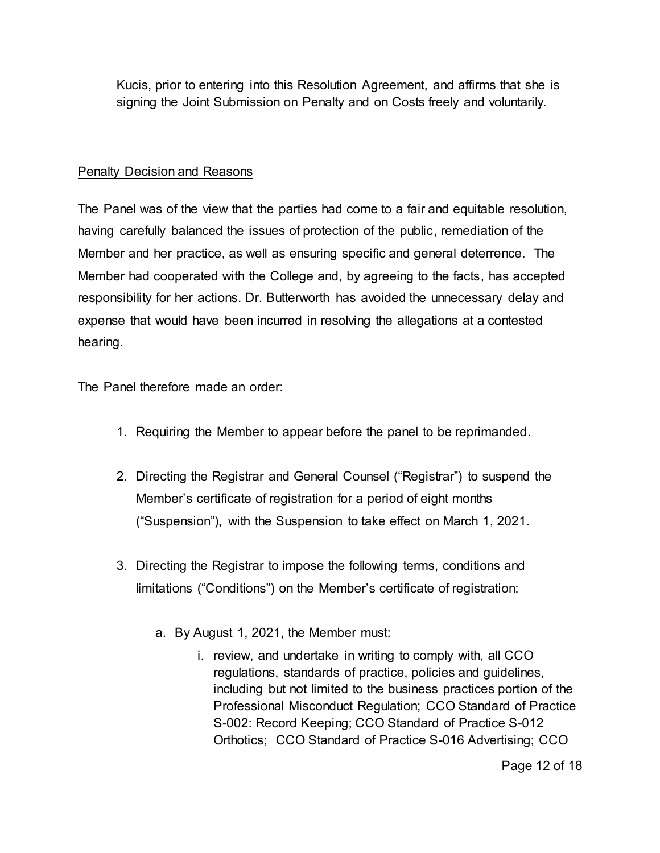Kucis, prior to entering into this Resolution Agreement, and affirms that she is signing the Joint Submission on Penalty and on Costs freely and voluntarily.

## Penalty Decision and Reasons

The Panel was of the view that the parties had come to a fair and equitable resolution, having carefully balanced the issues of protection of the public, remediation of the Member and her practice, as well as ensuring specific and general deterrence. The Member had cooperated with the College and, by agreeing to the facts, has accepted responsibility for her actions. Dr. Butterworth has avoided the unnecessary delay and expense that would have been incurred in resolving the allegations at a contested hearing.

The Panel therefore made an order:

- 1. Requiring the Member to appear before the panel to be reprimanded.
- 2. Directing the Registrar and General Counsel ("Registrar") to suspend the Member's certificate of registration for a period of eight months ("Suspension"), with the Suspension to take effect on March 1, 2021.
- 3. Directing the Registrar to impose the following terms, conditions and limitations ("Conditions") on the Member's certificate of registration:
	- a. By August 1, 2021, the Member must:
		- i. review, and undertake in writing to comply with, all CCO regulations, standards of practice, policies and guidelines, including but not limited to the business practices portion of the Professional Misconduct Regulation; CCO Standard of Practice S-002: Record Keeping; CCO Standard of Practice S-012 Orthotics; CCO Standard of Practice S-016 Advertising; CCO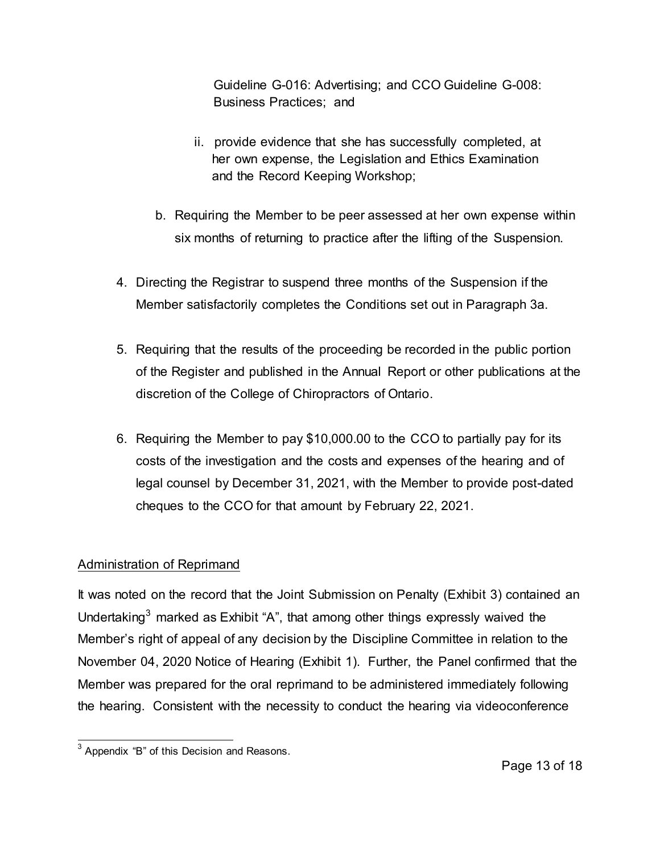Guideline G-016: Advertising; and CCO Guideline G-008: Business Practices; and

- ii. provide evidence that she has successfully completed, at her own expense, the Legislation and Ethics Examination and the Record Keeping Workshop;
- b. Requiring the Member to be peer assessed at her own expense within six months of returning to practice after the lifting of the Suspension.
- 4. Directing the Registrar to suspend three months of the Suspension if the Member satisfactorily completes the Conditions set out in Paragraph 3a.
- 5. Requiring that the results of the proceeding be recorded in the public portion of the Register and published in the Annual Report or other publications at the discretion of the College of Chiropractors of Ontario.
- 6. Requiring the Member to pay \$10,000.00 to the CCO to partially pay for its costs of the investigation and the costs and expenses of the hearing and of legal counsel by December 31, 2021, with the Member to provide post-dated cheques to the CCO for that amount by February 22, 2021.

# Administration of Reprimand

It was noted on the record that the Joint Submission on Penalty (Exhibit 3) contained an Undertaking $^3$  marked as Exhibit "A", that among other things expressly waived the Member's right of appeal of any decision by the Discipline Committee in relation to the November 04, 2020 Notice of Hearing (Exhibit 1). Further, the Panel confirmed that the Member was prepared for the oral reprimand to be administered immediately following the hearing. Consistent with the necessity to conduct the hearing via videoconference

 3 Appendix "B" of this Decision and Reasons.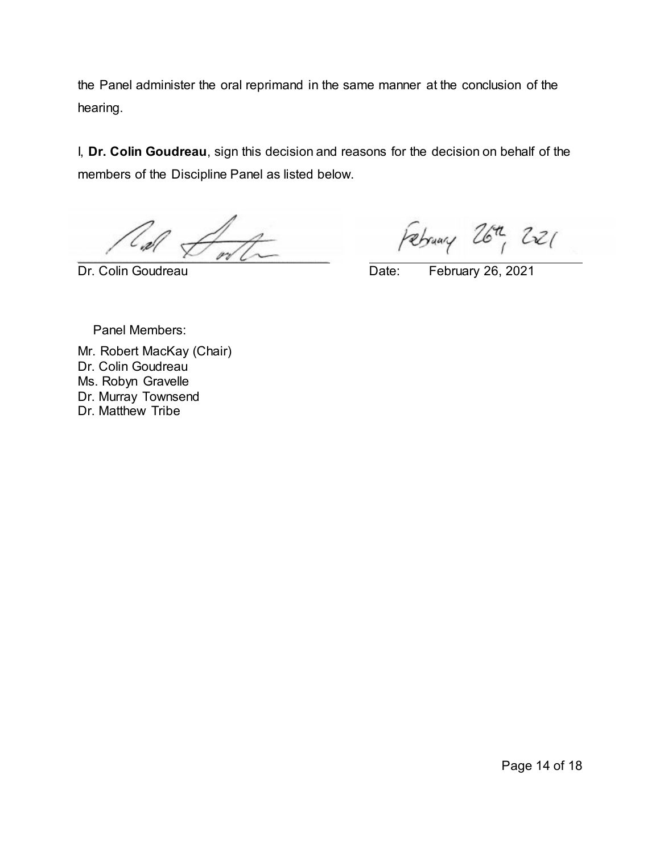the Panel administer the oral reprimand in the same manner at the conclusion of the hearing.

I, **Dr. Colin Goudreau**, sign this decision and reasons for the decision on behalf of the members of the Discipline Panel as listed below.

February 26th, 221

Dr. Colin Goudreau Date: February 26, 2021

Panel Members:

Mr. Robert MacKay (Chair) Dr. Colin Goudreau Ms. Robyn Gravelle Dr. Murray Townsend Dr. Matthew Tribe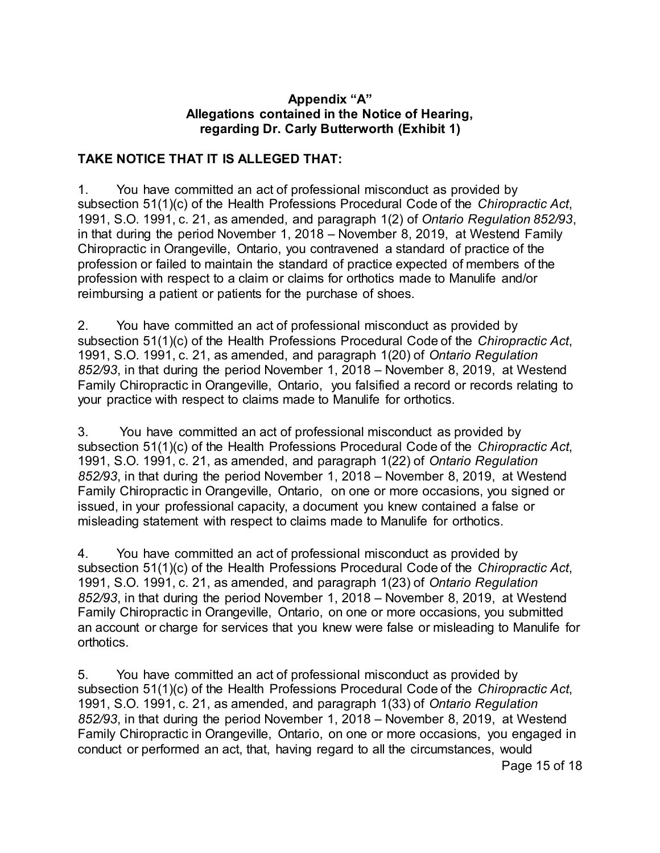#### **Appendix "A" Allegations contained in the Notice of Hearing, regarding Dr. Carly Butterworth (Exhibit 1)**

## **TAKE NOTICE THAT IT IS ALLEGED THAT:**

1. You have committed an act of professional misconduct as provided by subsection 51(1)(c) of the Health Professions Procedural Code of the *Chiropractic Act*, 1991, S.O. 1991, c. 21, as amended, and paragraph 1(2) of *Ontario Regulation 852/93*, in that during the period November 1, 2018 – November 8, 2019, at Westend Family Chiropractic in Orangeville, Ontario, you contravened a standard of practice of the profession or failed to maintain the standard of practice expected of members of the profession with respect to a claim or claims for orthotics made to Manulife and/or reimbursing a patient or patients for the purchase of shoes.

2. You have committed an act of professional misconduct as provided by subsection 51(1)(c) of the Health Professions Procedural Code of the *Chiropractic Act*, 1991, S.O. 1991, c. 21, as amended, and paragraph 1(20) of *Ontario Regulation 852/93*, in that during the period November 1, 2018 – November 8, 2019, at Westend Family Chiropractic in Orangeville, Ontario, you falsified a record or records relating to your practice with respect to claims made to Manulife for orthotics.

3. You have committed an act of professional misconduct as provided by subsection 51(1)(c) of the Health Professions Procedural Code of the *Chiropractic Act*, 1991, S.O. 1991, c. 21, as amended, and paragraph 1(22) of *Ontario Regulation 852/93*, in that during the period November 1, 2018 – November 8, 2019, at Westend Family Chiropractic in Orangeville, Ontario, on one or more occasions, you signed or issued, in your professional capacity, a document you knew contained a false or misleading statement with respect to claims made to Manulife for orthotics.

4. You have committed an act of professional misconduct as provided by subsection 51(1)(c) of the Health Professions Procedural Code of the *Chiropractic Act*, 1991, S.O. 1991, c. 21, as amended, and paragraph 1(23) of *Ontario Regulation 852/93*, in that during the period November 1, 2018 – November 8, 2019, at Westend Family Chiropractic in Orangeville, Ontario, on one or more occasions, you submitted an account or charge for services that you knew were false or misleading to Manulife for orthotics.

5. You have committed an act of professional misconduct as provided by subsection 51(1)(c) of the Health Professions Procedural Code of the *Chiropr*a*ctic Act*, 1991, S.O. 1991, c. 21, as amended, and paragraph 1(33) of *Ontario Regulation 852/93*, in that during the period November 1, 2018 – November 8, 2019, at Westend Family Chiropractic in Orangeville, Ontario, on one or more occasions, you engaged in conduct or performed an act, that, having regard to all the circumstances, would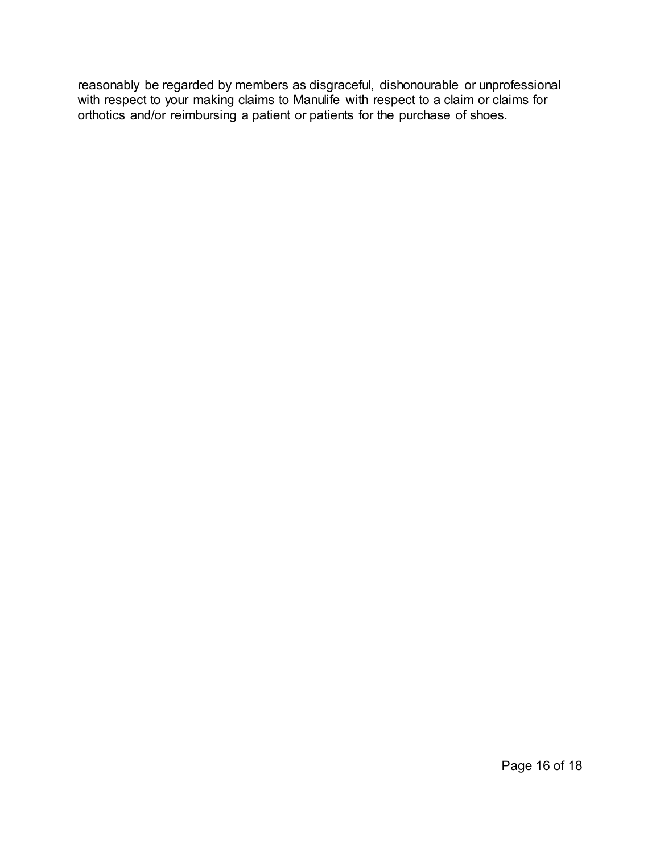reasonably be regarded by members as disgraceful, dishonourable or unprofessional with respect to your making claims to Manulife with respect to a claim or claims for orthotics and/or reimbursing a patient or patients for the purchase of shoes.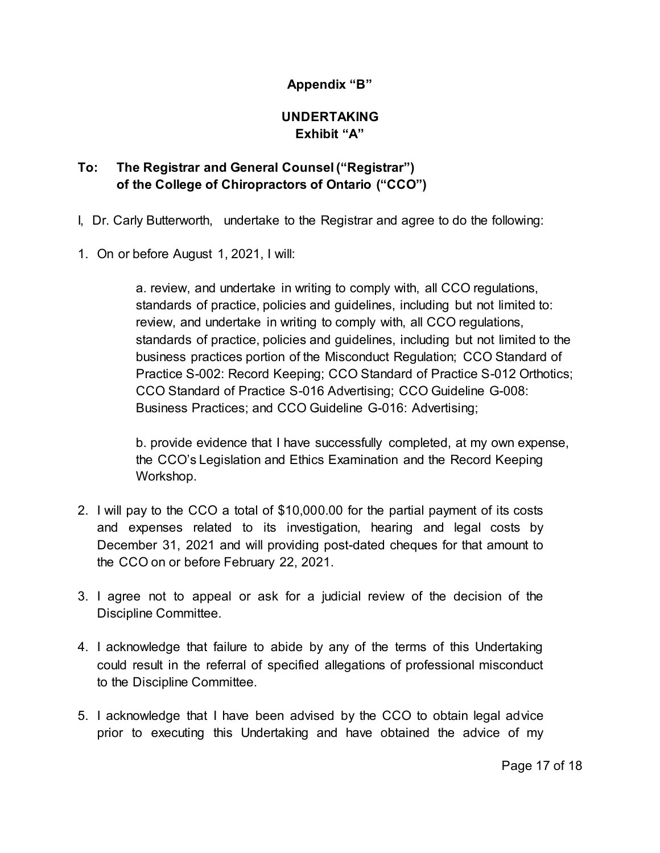## **Appendix "B"**

## **UNDERTAKING Exhibit "A"**

# **To: The Registrar and General Counsel ("Registrar") of the College of Chiropractors of Ontario ("CCO")**

I, Dr. Carly Butterworth, undertake to the Registrar and agree to do the following:

1. On or before August 1, 2021, I will:

a. review, and undertake in writing to comply with, all CCO regulations, standards of practice, policies and guidelines, including but not limited to: review, and undertake in writing to comply with, all CCO regulations, standards of practice, policies and guidelines, including but not limited to the business practices portion of the Misconduct Regulation; CCO Standard of Practice S-002: Record Keeping; CCO Standard of Practice S-012 Orthotics; CCO Standard of Practice S-016 Advertising; CCO Guideline G-008: Business Practices; and CCO Guideline G-016: Advertising;

b. provide evidence that I have successfully completed, at my own expense, the CCO's Legislation and Ethics Examination and the Record Keeping Workshop.

- 2. I will pay to the CCO a total of \$10,000.00 for the partial payment of its costs and expenses related to its investigation, hearing and legal costs by December 31, 2021 and will providing post-dated cheques for that amount to the CCO on or before February 22, 2021.
- 3. I agree not to appeal or ask for a judicial review of the decision of the Discipline Committee.
- 4. I acknowledge that failure to abide by any of the terms of this Undertaking could result in the referral of specified allegations of professional misconduct to the Discipline Committee.
- 5. I acknowledge that I have been advised by the CCO to obtain legal advice prior to executing this Undertaking and have obtained the advice of my